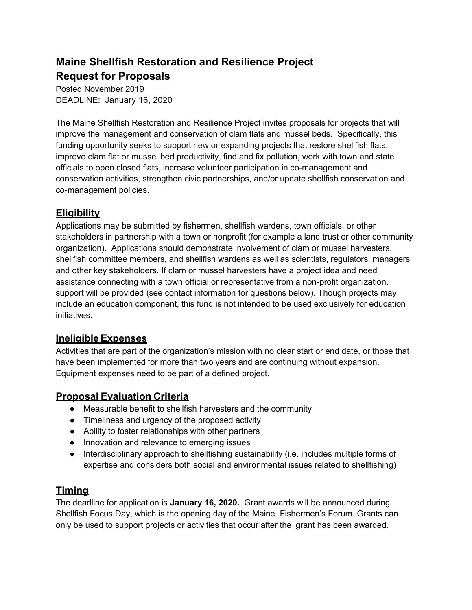# **Maine Shellfish Restoration and Resilience Project Request for Proposals**

Posted November 2019 DEADLINE: January 16, 2020

The Maine Shellfish Restoration and Resilience Project invites proposals for projects that will improve the management and conservation of clam flats and mussel beds. Specifically, this funding opportunity seeks to support new or expanding projects that restore shellfish flats, improve clam flat or mussel bed productivity, find and fix pollution, work with town and state officials to open closed flats, increase volunteer participation in co-management and conservation activities, strengthen civic partnerships, and/or update shellfish conservation and co-management policies.

# **Eligibility**

Applications may be submitted by fishermen, shellfish wardens, town officials, or other stakeholders in partnership with a town or nonprofit (for example a land trust or other community organization). Applications should demonstrate involvement of clam or mussel harvesters, shellfish committee members, and shellfish wardens as well as scientists, regulators, managers and other key stakeholders. If clam or mussel harvesters have a project idea and need assistance connecting with a town official or representative from a non-profit organization, support will be provided (see contact information for questions below). Though projects may include an education component, this fund is not intended to be used exclusively for education initiatives.

### **Ineligible Expenses**

Activities that are part of the organization's mission with no clear start or end date, or those that have been implemented for more than two years and are continuing without expansion. Equipment expenses need to be part of a defined project.

### **Proposal Evaluation Criteria**

- Measurable benefit to shellfish harvesters and the community
- Timeliness and urgency of the proposed activity
- Ability to foster relationships with other partners
- Innovation and relevance to emerging issues
- Interdisciplinary approach to shellfishing sustainability (i.e. includes multiple forms of expertise and considers both social and environmental issues related to shellfishing)

## **Timing**

The deadline for application is **January 16, 2020.** Grant awards will be announced during Shellfish Focus Day, which is the opening day of the Maine Fishermen's Forum. Grants can only be used to support projects or activities that occur after the grant has been awarded.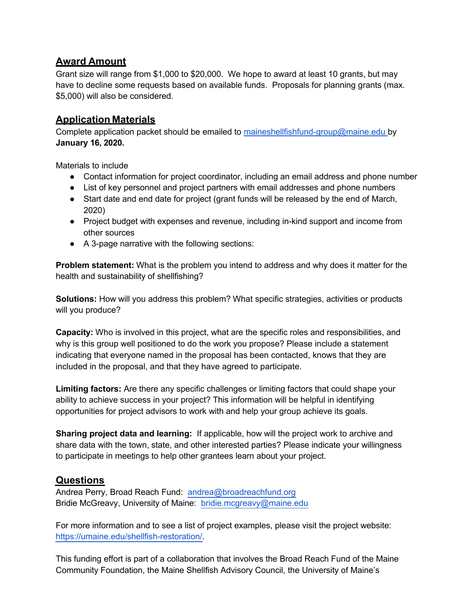### **Award Amount**

Grant size will range from \$1,000 to \$20,000. We hope to award at least 10 grants, but may have to decline some requests based on available funds. Proposals for planning grants (max. \$5,000) will also be considered.

### **Application Materials**

Complete application packet should be emailed to maineshellfishfund-group@maine.edu by **January 16, 2020.**

Materials to include

- Contact information for project coordinator, including an email address and phone number
- List of key personnel and project partners with email addresses and phone numbers
- Start date and end date for project (grant funds will be released by the end of March, 2020)
- Project budget with expenses and revenue, including in-kind support and income from other sources
- A 3-page narrative with the following sections:

**Problem statement:** What is the problem you intend to address and why does it matter for the health and sustainability of shellfishing?

**Solutions:** How will you address this problem? What specific strategies, activities or products will you produce?

**Capacity:** Who is involved in this project, what are the specific roles and responsibilities, and why is this group well positioned to do the work you propose? Please include a statement indicating that everyone named in the proposal has been contacted, knows that they are included in the proposal, and that they have agreed to participate.

**Limiting factors:** Are there any specific challenges or limiting factors that could shape your ability to achieve success in your project? This information will be helpful in identifying opportunities for project advisors to work with and help your group achieve its goals.

**Sharing project data and learning:** If applicable, how will the project work to archive and share data with the town, state, and other interested parties? Please indicate your willingness to participate in meetings to help other grantees learn about your project.

#### **Questions**

Andrea Perry, Broad Reach Fund: andrea@broadreachfund.org Bridie McGreavy, University of Maine: bridie.mcgreavy@maine.edu

For more information and to see a list of project examples, please visit the project website: https://umaine.edu/shellfish-restoration/.

This funding effort is part of a collaboration that involves the Broad Reach Fund of the Maine Community Foundation, the Maine Shellfish Advisory Council, the University of Maine's